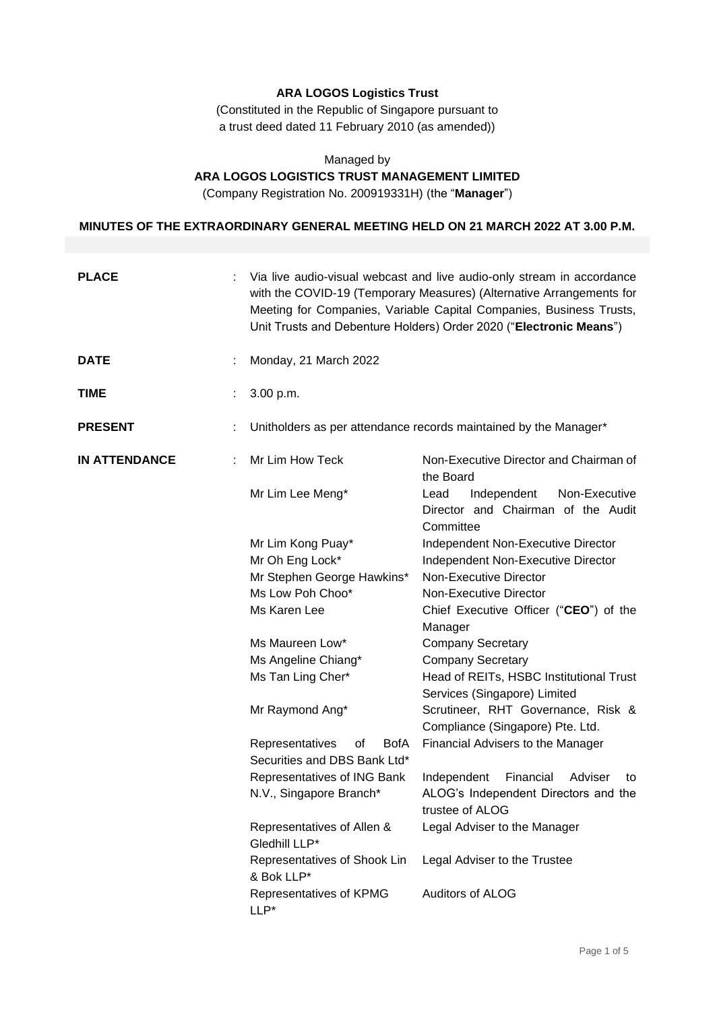# **ARA LOGOS Logistics Trust**

(Constituted in the Republic of Singapore pursuant to a trust deed dated 11 February 2010 (as amended))

## Managed by **ARA LOGOS LOGISTICS TRUST MANAGEMENT LIMITED**

(Company Registration No. 200919331H) (the "**Manager**")

## **MINUTES OF THE EXTRAORDINARY GENERAL MEETING HELD ON 21 MARCH 2022 AT 3.00 P.M.**

| <b>PLACE</b>         | Via live audio-visual webcast and live audio-only stream in accordance<br>with the COVID-19 (Temporary Measures) (Alternative Arrangements for<br>Meeting for Companies, Variable Capital Companies, Business Trusts,<br>Unit Trusts and Debenture Holders) Order 2020 ("Electronic Means") |                                                                                         |  |
|----------------------|---------------------------------------------------------------------------------------------------------------------------------------------------------------------------------------------------------------------------------------------------------------------------------------------|-----------------------------------------------------------------------------------------|--|
| <b>DATE</b>          | Monday, 21 March 2022                                                                                                                                                                                                                                                                       |                                                                                         |  |
| <b>TIME</b>          | 3.00 p.m.                                                                                                                                                                                                                                                                                   |                                                                                         |  |
| <b>PRESENT</b>       |                                                                                                                                                                                                                                                                                             | Unitholders as per attendance records maintained by the Manager*                        |  |
| <b>IN ATTENDANCE</b> | Mr Lim How Teck                                                                                                                                                                                                                                                                             | Non-Executive Director and Chairman of<br>the Board                                     |  |
|                      | Mr Lim Lee Meng*                                                                                                                                                                                                                                                                            | Independent<br>Non-Executive<br>Lead<br>Director and Chairman of the Audit<br>Committee |  |
|                      | Mr Lim Kong Puay*                                                                                                                                                                                                                                                                           | Independent Non-Executive Director                                                      |  |
|                      | Mr Oh Eng Lock*                                                                                                                                                                                                                                                                             | Independent Non-Executive Director                                                      |  |
|                      | Mr Stephen George Hawkins*                                                                                                                                                                                                                                                                  | Non-Executive Director                                                                  |  |
|                      | Ms Low Poh Choo*                                                                                                                                                                                                                                                                            | Non-Executive Director                                                                  |  |
|                      | Ms Karen Lee                                                                                                                                                                                                                                                                                | Chief Executive Officer ("CEO") of the                                                  |  |
|                      |                                                                                                                                                                                                                                                                                             | Manager                                                                                 |  |
|                      | Ms Maureen Low*                                                                                                                                                                                                                                                                             | <b>Company Secretary</b>                                                                |  |
|                      | Ms Angeline Chiang*                                                                                                                                                                                                                                                                         | <b>Company Secretary</b>                                                                |  |
|                      | Ms Tan Ling Cher*                                                                                                                                                                                                                                                                           | Head of REITs, HSBC Institutional Trust                                                 |  |
|                      |                                                                                                                                                                                                                                                                                             | Services (Singapore) Limited                                                            |  |
|                      | Mr Raymond Ang*                                                                                                                                                                                                                                                                             | Scrutineer, RHT Governance, Risk &                                                      |  |
|                      |                                                                                                                                                                                                                                                                                             | Compliance (Singapore) Pte. Ltd.                                                        |  |
|                      | Representatives<br><b>BofA</b><br>οf                                                                                                                                                                                                                                                        | Financial Advisers to the Manager                                                       |  |
|                      | Securities and DBS Bank Ltd*                                                                                                                                                                                                                                                                |                                                                                         |  |
|                      | Representatives of ING Bank                                                                                                                                                                                                                                                                 | Financial<br>Independent<br>Adviser<br>to                                               |  |
|                      | N.V., Singapore Branch*                                                                                                                                                                                                                                                                     | ALOG's Independent Directors and the<br>trustee of ALOG                                 |  |
|                      | Representatives of Allen &<br>Gledhill LLP*                                                                                                                                                                                                                                                 | Legal Adviser to the Manager                                                            |  |
|                      | Representatives of Shook Lin<br>& Bok LLP*                                                                                                                                                                                                                                                  | Legal Adviser to the Trustee                                                            |  |
|                      | Representatives of KPMG<br>LLP*                                                                                                                                                                                                                                                             | Auditors of ALOG                                                                        |  |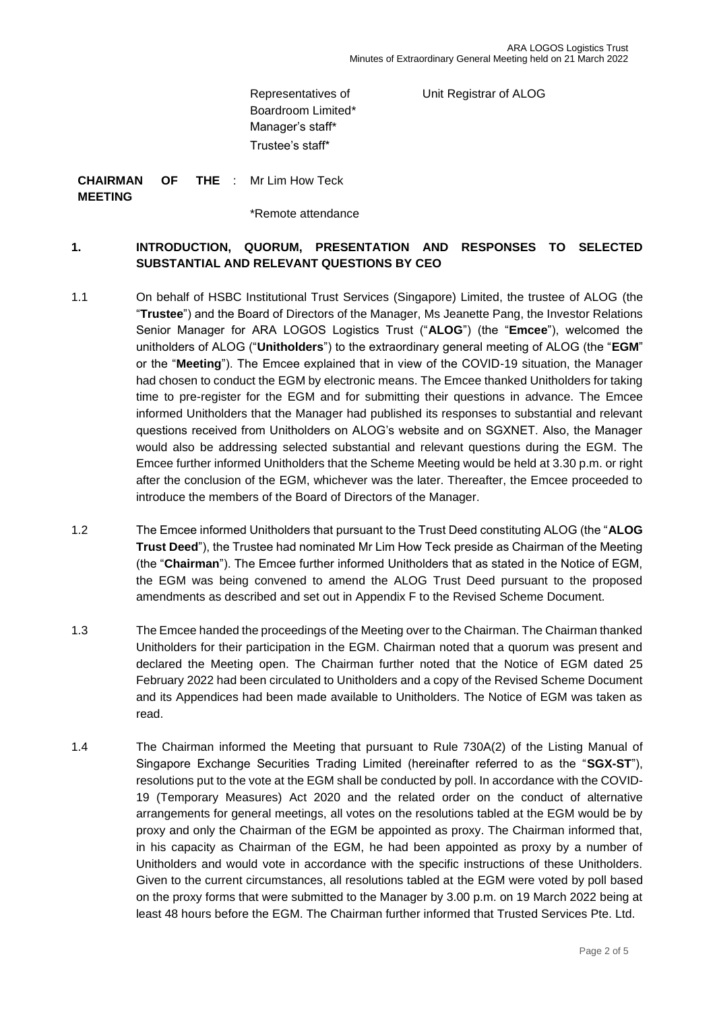Unit Registrar of ALOG

Representatives of Boardroom Limited\* Manager's staff\* Trustee's staff\*

**CHAIRMAN OF MEETING** THE : Mr Lim How Teck

\*Remote attendance

# **1. INTRODUCTION, QUORUM, PRESENTATION AND RESPONSES TO SELECTED SUBSTANTIAL AND RELEVANT QUESTIONS BY CEO**

- 1.1 On behalf of HSBC Institutional Trust Services (Singapore) Limited, the trustee of ALOG (the "**Trustee**") and the Board of Directors of the Manager, Ms Jeanette Pang, the Investor Relations Senior Manager for ARA LOGOS Logistics Trust ("**ALOG**") (the "**Emcee**"), welcomed the unitholders of ALOG ("**Unitholders**") to the extraordinary general meeting of ALOG (the "**EGM**" or the "**Meeting**"). The Emcee explained that in view of the COVID-19 situation, the Manager had chosen to conduct the EGM by electronic means. The Emcee thanked Unitholders for taking time to pre-register for the EGM and for submitting their questions in advance. The Emcee informed Unitholders that the Manager had published its responses to substantial and relevant questions received from Unitholders on ALOG's website and on SGXNET. Also, the Manager would also be addressing selected substantial and relevant questions during the EGM. The Emcee further informed Unitholders that the Scheme Meeting would be held at 3.30 p.m. or right after the conclusion of the EGM, whichever was the later. Thereafter, the Emcee proceeded to introduce the members of the Board of Directors of the Manager.
- 1.2 The Emcee informed Unitholders that pursuant to the Trust Deed constituting ALOG (the "**ALOG Trust Deed**"), the Trustee had nominated Mr Lim How Teck preside as Chairman of the Meeting (the "**Chairman**"). The Emcee further informed Unitholders that as stated in the Notice of EGM, the EGM was being convened to amend the ALOG Trust Deed pursuant to the proposed amendments as described and set out in Appendix F to the Revised Scheme Document.
- 1.3 The Emcee handed the proceedings of the Meeting over to the Chairman. The Chairman thanked Unitholders for their participation in the EGM. Chairman noted that a quorum was present and declared the Meeting open. The Chairman further noted that the Notice of EGM dated 25 February 2022 had been circulated to Unitholders and a copy of the Revised Scheme Document and its Appendices had been made available to Unitholders. The Notice of EGM was taken as read.
- 1.4 The Chairman informed the Meeting that pursuant to Rule 730A(2) of the Listing Manual of Singapore Exchange Securities Trading Limited (hereinafter referred to as the "**SGX-ST**"), resolutions put to the vote at the EGM shall be conducted by poll. In accordance with the COVID-19 (Temporary Measures) Act 2020 and the related order on the conduct of alternative arrangements for general meetings, all votes on the resolutions tabled at the EGM would be by proxy and only the Chairman of the EGM be appointed as proxy. The Chairman informed that, in his capacity as Chairman of the EGM, he had been appointed as proxy by a number of Unitholders and would vote in accordance with the specific instructions of these Unitholders. Given to the current circumstances, all resolutions tabled at the EGM were voted by poll based on the proxy forms that were submitted to the Manager by 3.00 p.m. on 19 March 2022 being at least 48 hours before the EGM. The Chairman further informed that Trusted Services Pte. Ltd.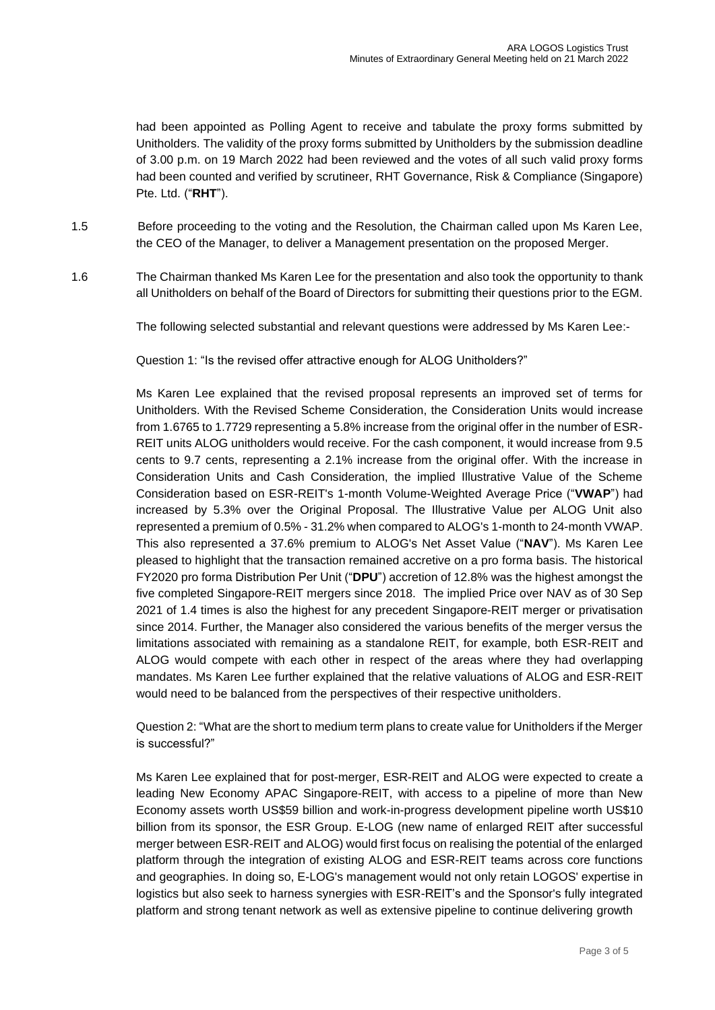had been appointed as Polling Agent to receive and tabulate the proxy forms submitted by Unitholders. The validity of the proxy forms submitted by Unitholders by the submission deadline of 3.00 p.m. on 19 March 2022 had been reviewed and the votes of all such valid proxy forms had been counted and verified by scrutineer, RHT Governance, Risk & Compliance (Singapore) Pte. Ltd. ("**RHT**").

1.5 Before proceeding to the voting and the Resolution, the Chairman called upon Ms Karen Lee, the CEO of the Manager, to deliver a Management presentation on the proposed Merger.

1.6 The Chairman thanked Ms Karen Lee for the presentation and also took the opportunity to thank all Unitholders on behalf of the Board of Directors for submitting their questions prior to the EGM.

The following selected substantial and relevant questions were addressed by Ms Karen Lee:-

Question 1: "Is the revised offer attractive enough for ALOG Unitholders?"

Ms Karen Lee explained that the revised proposal represents an improved set of terms for Unitholders. With the Revised Scheme Consideration, the Consideration Units would increase from 1.6765 to 1.7729 representing a 5.8% increase from the original offer in the number of ESR-REIT units ALOG unitholders would receive. For the cash component, it would increase from 9.5 cents to 9.7 cents, representing a 2.1% increase from the original offer. With the increase in Consideration Units and Cash Consideration, the implied Illustrative Value of the Scheme Consideration based on ESR-REIT's 1-month Volume-Weighted Average Price ("**VWAP**") had increased by 5.3% over the Original Proposal. The Illustrative Value per ALOG Unit also represented a premium of 0.5% - 31.2% when compared to ALOG's 1-month to 24-month VWAP. This also represented a 37.6% premium to ALOG's Net Asset Value ("**NAV**"). Ms Karen Lee pleased to highlight that the transaction remained accretive on a pro forma basis. The historical FY2020 pro forma Distribution Per Unit ("**DPU**") accretion of 12.8% was the highest amongst the five completed Singapore-REIT mergers since 2018. The implied Price over NAV as of 30 Sep 2021 of 1.4 times is also the highest for any precedent Singapore-REIT merger or privatisation since 2014. Further, the Manager also considered the various benefits of the merger versus the limitations associated with remaining as a standalone REIT, for example, both ESR-REIT and ALOG would compete with each other in respect of the areas where they had overlapping mandates. Ms Karen Lee further explained that the relative valuations of ALOG and ESR-REIT would need to be balanced from the perspectives of their respective unitholders.

Question 2: "What are the short to medium term plans to create value for Unitholders if the Merger is successful?"

Ms Karen Lee explained that for post-merger, ESR-REIT and ALOG were expected to create a leading New Economy APAC Singapore-REIT, with access to a pipeline of more than New Economy assets worth US\$59 billion and work-in-progress development pipeline worth US\$10 billion from its sponsor, the ESR Group. E-LOG (new name of enlarged REIT after successful merger between ESR-REIT and ALOG) would first focus on realising the potential of the enlarged platform through the integration of existing ALOG and ESR-REIT teams across core functions and geographies. In doing so, E-LOG's management would not only retain LOGOS' expertise in logistics but also seek to harness synergies with ESR-REIT's and the Sponsor's fully integrated platform and strong tenant network as well as extensive pipeline to continue delivering growth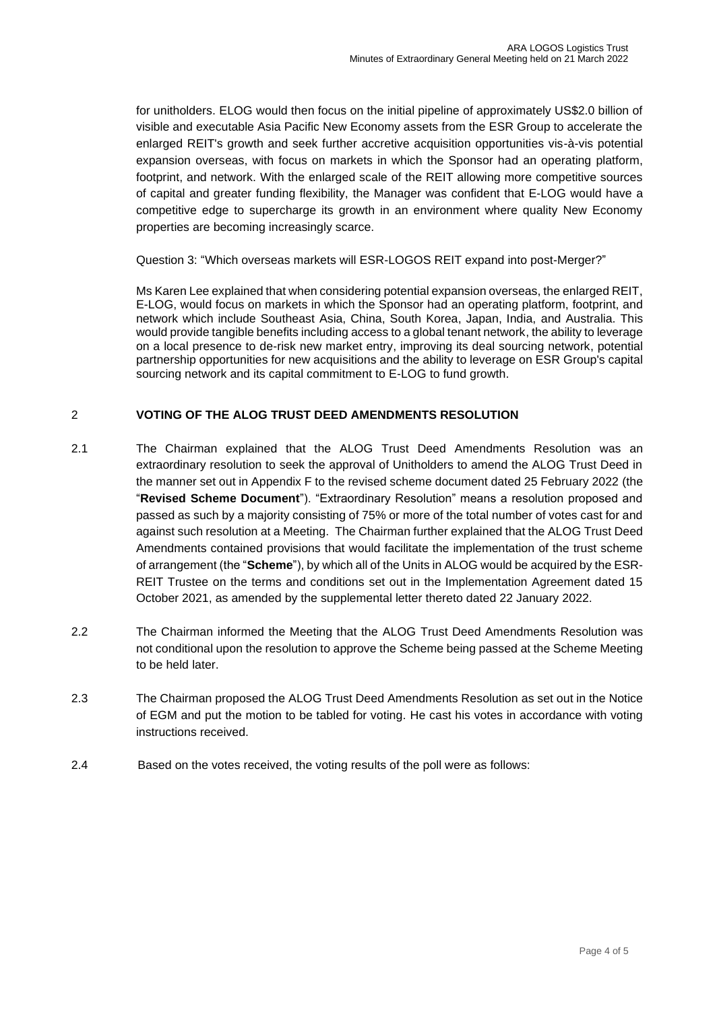for unitholders. ELOG would then focus on the initial pipeline of approximately US\$2.0 billion of visible and executable Asia Pacific New Economy assets from the ESR Group to accelerate the enlarged REIT's growth and seek further accretive acquisition opportunities vis-à-vis potential expansion overseas, with focus on markets in which the Sponsor had an operating platform, footprint, and network. With the enlarged scale of the REIT allowing more competitive sources of capital and greater funding flexibility, the Manager was confident that E-LOG would have a competitive edge to supercharge its growth in an environment where quality New Economy properties are becoming increasingly scarce.

Question 3: "Which overseas markets will ESR-LOGOS REIT expand into post-Merger?"

Ms Karen Lee explained that when considering potential expansion overseas, the enlarged REIT, E-LOG, would focus on markets in which the Sponsor had an operating platform, footprint, and network which include Southeast Asia, China, South Korea, Japan, India, and Australia. This would provide tangible benefits including access to a global tenant network, the ability to leverage on a local presence to de-risk new market entry, improving its deal sourcing network, potential partnership opportunities for new acquisitions and the ability to leverage on ESR Group's capital sourcing network and its capital commitment to E-LOG to fund growth.

# 2 **VOTING OF THE ALOG TRUST DEED AMENDMENTS RESOLUTION**

- 2.1 The Chairman explained that the ALOG Trust Deed Amendments Resolution was an extraordinary resolution to seek the approval of Unitholders to amend the ALOG Trust Deed in the manner set out in Appendix F to the revised scheme document dated 25 February 2022 (the "**Revised Scheme Document**"). "Extraordinary Resolution" means a resolution proposed and passed as such by a majority consisting of 75% or more of the total number of votes cast for and against such resolution at a Meeting. The Chairman further explained that the ALOG Trust Deed Amendments contained provisions that would facilitate the implementation of the trust scheme of arrangement (the "**Scheme**"), by which all of the Units in ALOG would be acquired by the ESR-REIT Trustee on the terms and conditions set out in the Implementation Agreement dated 15 October 2021, as amended by the supplemental letter thereto dated 22 January 2022.
- 2.2 The Chairman informed the Meeting that the ALOG Trust Deed Amendments Resolution was not conditional upon the resolution to approve the Scheme being passed at the Scheme Meeting to be held later.
- 2.3 The Chairman proposed the ALOG Trust Deed Amendments Resolution as set out in the Notice of EGM and put the motion to be tabled for voting. He cast his votes in accordance with voting instructions received.
- 2.4 Based on the votes received, the voting results of the poll were as follows: